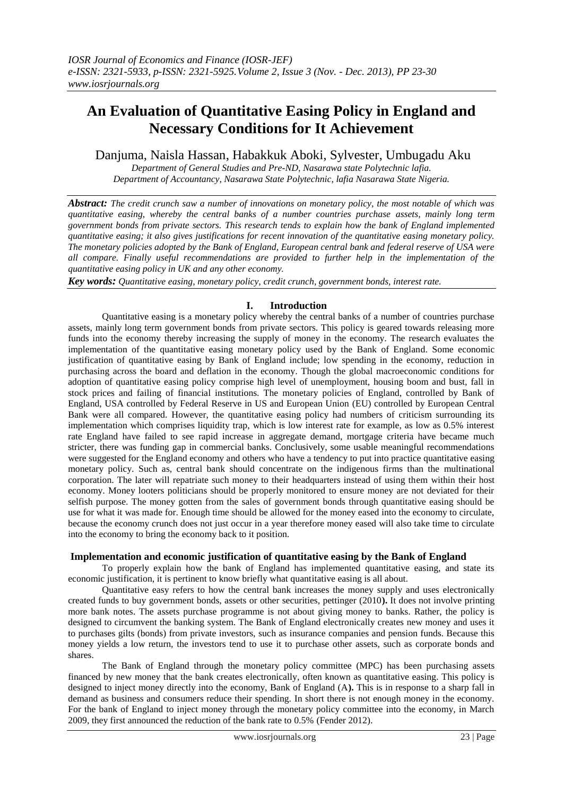# **An Evaluation of Quantitative Easing Policy in England and Necessary Conditions for It Achievement**

Danjuma, Naisla Hassan, Habakkuk Aboki, Sylvester, Umbugadu Aku

*Department of General Studies and Pre-ND, Nasarawa state Polytechnic lafia. Department of Accountancy, Nasarawa State Polytechnic, lafia Nasarawa State Nigeria.*

*Abstract: The credit crunch saw a number of innovations on monetary policy, the most notable of which was quantitative easing, whereby the central banks of a number countries purchase assets, mainly long term government bonds from private sectors. This research tends to explain how the bank of England implemented quantitative easing; it also gives justifications for recent innovation of the quantitative easing monetary policy. The monetary policies adopted by the Bank of England, European central bank and federal reserve of USA were all compare. Finally useful recommendations are provided to further help in the implementation of the quantitative easing policy in UK and any other economy.*

*Key words: Quantitative easing, monetary policy, credit crunch, government bonds, interest rate.*

# **I. Introduction**

Quantitative easing is a monetary policy whereby the central banks of a number of countries purchase assets, mainly long term government bonds from private sectors. This policy is geared towards releasing more funds into the economy thereby increasing the supply of money in the economy. The research evaluates the implementation of the quantitative easing monetary policy used by the Bank of England. Some economic justification of quantitative easing by Bank of England include; low spending in the economy, reduction in purchasing across the board and deflation in the economy. Though the global macroeconomic conditions for adoption of quantitative easing policy comprise high level of unemployment, housing boom and bust, fall in stock prices and failing of financial institutions. The monetary policies of England, controlled by Bank of England, USA controlled by Federal Reserve in US and European Union (EU) controlled by European Central Bank were all compared. However, the quantitative easing policy had numbers of criticism surrounding its implementation which comprises liquidity trap, which is low interest rate for example, as low as 0.5% interest rate England have failed to see rapid increase in aggregate demand, mortgage criteria have became much stricter, there was funding gap in commercial banks. Conclusively, some usable meaningful recommendations were suggested for the England economy and others who have a tendency to put into practice quantitative easing monetary policy. Such as, central bank should concentrate on the indigenous firms than the multinational corporation. The later will repatriate such money to their headquarters instead of using them within their host economy. Money looters politicians should be properly monitored to ensure money are not deviated for their selfish purpose. The money gotten from the sales of government bonds through quantitative easing should be use for what it was made for. Enough time should be allowed for the money eased into the economy to circulate, because the economy crunch does not just occur in a year therefore money eased will also take time to circulate into the economy to bring the economy back to it position.

# **Implementation and economic justification of quantitative easing by the Bank of England**

To properly explain how the bank of England has implemented quantitative easing, and state its economic justification, it is pertinent to know briefly what quantitative easing is all about.

Quantitative easy refers to how the central bank increases the money supply and uses electronically created funds to buy government bonds, assets or other securities, pettinger (2010**).** It does not involve printing more bank notes. The assets purchase programme is not about giving money to banks. Rather, the policy is designed to circumvent the banking system. The Bank of England electronically creates new money and uses it to purchases gilts (bonds) from private investors, such as insurance companies and pension funds. Because this money yields a low return, the investors tend to use it to purchase other assets, such as corporate bonds and shares.

The Bank of England through the monetary policy committee (MPC) has been purchasing assets financed by new money that the bank creates electronically, often known as quantitative easing. This policy is designed to inject money directly into the economy, Bank of England (A**).** This is in response to a sharp fall in demand as business and consumers reduce their spending. In short there is not enough money in the economy. For the bank of England to inject money through the monetary policy committee into the economy, in March 2009, they first announced the reduction of the bank rate to 0.5% (Fender 2012).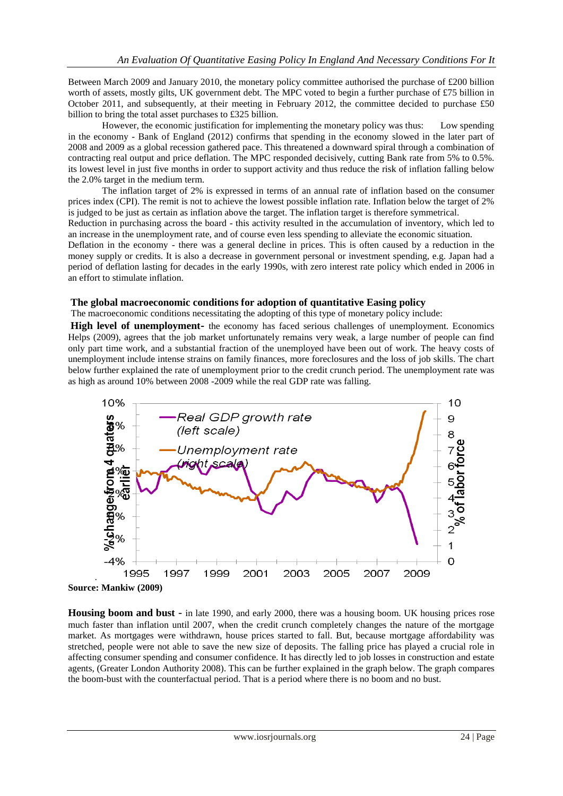Between March 2009 and January 2010, the monetary policy committee authorised the purchase of £200 billion worth of assets, mostly gilts, UK government debt. The MPC voted to begin a further purchase of £75 billion in October 2011, and subsequently, at their meeting in February 2012, the committee decided to purchase £50 billion to bring the total asset purchases to £325 billion.

However, the economic justification for implementing the monetary policy was thus: Low spending in the economy - Bank of England (2012) confirms that spending in the economy slowed in the later part of 2008 and 2009 as a global recession gathered pace. This threatened a downward spiral through a combination of contracting real output and price deflation. The MPC responded decisively, cutting Bank rate from 5% to 0.5%. its lowest level in just five months in order to support activity and thus reduce the risk of inflation falling below the 2.0% target in the medium term.

The inflation target of 2% is expressed in terms of an annual rate of inflation based on the consumer prices index (CPI). The remit is not to achieve the lowest possible inflation rate. Inflation below the target of 2% is judged to be just as certain as inflation above the target. The inflation target is therefore symmetrical.

Reduction in purchasing across the board - this activity resulted in the accumulation of inventory, which led to an increase in the unemployment rate, and of course even less spending to alleviate the economic situation.

Deflation in the economy - there was a general decline in prices. This is often caused by a reduction in the money supply or credits. It is also a decrease in government personal or investment spending, e.g. Japan had a period of deflation lasting for decades in the early 1990s, with zero interest rate policy which ended in 2006 in an effort to stimulate inflation.

## **The global macroeconomic conditions for adoption of quantitative Easing policy**

The macroeconomic conditions necessitating the adopting of this type of monetary policy include:

**High level of unemployment-** the economy has faced serious challenges of unemployment. Economics Helps (2009), agrees that the job market unfortunately remains very weak, a large number of people can find only part time work, and a substantial fraction of the unemployed have been out of work. The heavy costs of unemployment include intense strains on family finances, more foreclosures and the loss of job skills. The chart below further explained the rate of unemployment prior to the credit crunch period. The unemployment rate was as high as around 10% between 2008 -2009 while the real GDP rate was falling.



**Housing boom and bust** - in late 1990, and early 2000, there was a housing boom. UK housing prices rose much faster than inflation until 2007, when the credit crunch completely changes the nature of the mortgage market. As mortgages were withdrawn, house prices started to fall. But, because mortgage affordability was stretched, people were not able to save the new size of deposits. The falling price has played a crucial role in affecting consumer spending and consumer confidence. It has directly led to job losses in construction and estate agents, (Greater London Authority 2008). This can be further explained in the graph below. The graph compares the boom-bust with the counterfactual period. That is a period where there is no boom and no bust.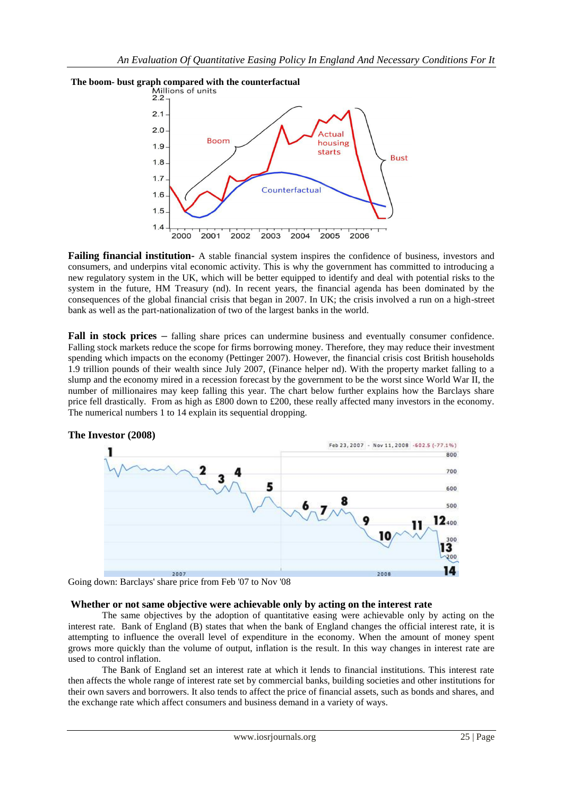

**Failing financial institution-** A stable financial system inspires the confidence of business, investors and consumers, and underpins vital economic activity. This is why the government has committed to introducing a new regulatory system in the UK, which will be better equipped to identify and deal with potential risks to the system in the future, HM Treasury (nd). In recent years, the financial agenda has been dominated by the consequences of the global financial crisis that began in 2007. In UK; the crisis involved a run on a high-street bank as well as the part-nationalization of two of the largest banks in the world.

**Fall in stock prices** – falling share prices can undermine business and eventually consumer confidence. Falling stock markets reduce the scope for firms borrowing money. Therefore, they may reduce their investment spending which impacts on the economy (Pettinger 2007). However, the financial crisis cost British households 1.9 trillion pounds of their wealth since July 2007, (Finance helper nd). With the property market falling to a slump and the economy mired in a recession forecast by the government to be the worst since World War II, the number of millionaires may keep falling this year. The chart below further explains how the Barclays share price fell drastically. From as high as £800 down to £200, these really affected many investors in the economy. The numerical numbers 1 to 14 explain its sequential dropping.



Going down: Barclays' share price from Feb '07 to Nov '08

# **Whether or not same objective were achievable only by acting on the interest rate**

The same objectives by the adoption of quantitative easing were achievable only by acting on the interest rate. Bank of England (B) states that when the bank of England changes the official interest rate, it is attempting to influence the overall level of expenditure in the economy. When the amount of money spent grows more quickly than the volume of output, inflation is the result. In this way changes in interest rate are used to control inflation.

The Bank of England set an interest rate at which it lends to financial institutions. This interest rate then affects the whole range of interest rate set by commercial banks, building societies and other institutions for their own savers and borrowers. It also tends to affect the price of financial assets, such as bonds and shares, and the exchange rate which affect consumers and business demand in a variety of ways.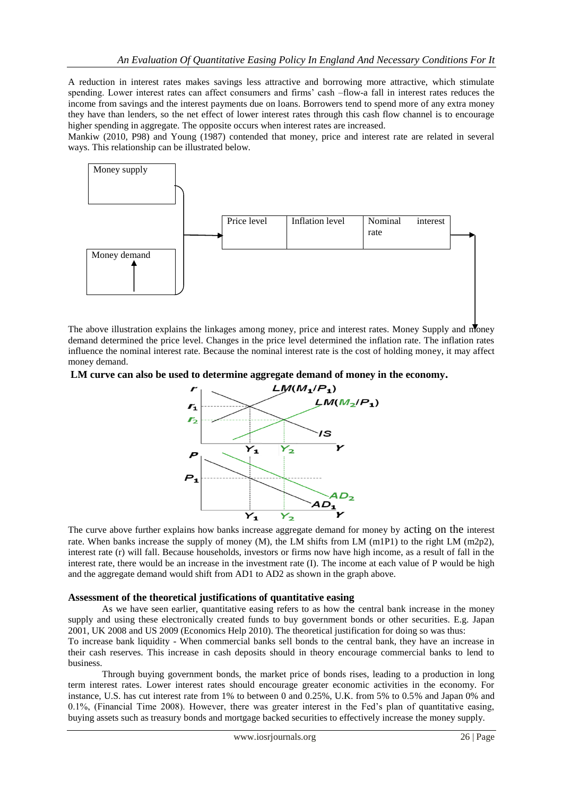A reduction in interest rates makes savings less attractive and borrowing more attractive, which stimulate spending. Lower interest rates can affect consumers and firms' cash –flow-a fall in interest rates reduces the income from savings and the interest payments due on loans. Borrowers tend to spend more of any extra money they have than lenders, so the net effect of lower interest rates through this cash flow channel is to encourage higher spending in aggregate. The opposite occurs when interest rates are increased.

Mankiw (2010, P98) and Young (1987) contended that money, price and interest rate are related in several ways. This relationship can be illustrated below.



The above illustration explains the linkages among money, price and interest rates. Money Supply and money demand determined the price level. Changes in the price level determined the inflation rate. The inflation rates influence the nominal interest rate. Because the nominal interest rate is the cost of holding money, it may affect money demand.

**LM curve can also be used to determine aggregate demand of money in the economy.**



The curve above further explains how banks increase aggregate demand for money by acting on the interest rate. When banks increase the supply of money (M), the LM shifts from LM (m1P1) to the right LM (m2p2), interest rate (r) will fall. Because households, investors or firms now have high income, as a result of fall in the interest rate, there would be an increase in the investment rate (I). The income at each value of P would be high and the aggregate demand would shift from AD1 to AD2 as shown in the graph above.

# **Assessment of the theoretical justifications of quantitative easing**

As we have seen earlier, quantitative easing refers to as how the central bank increase in the money supply and using these electronically created funds to buy government bonds or other securities. E.g. Japan 2001, UK 2008 and US 2009 (Economics Help 2010). The theoretical justification for doing so was thus: To increase bank liquidity - When commercial banks sell bonds to the central bank, they have an increase in

their cash reserves. This increase in cash deposits should in theory encourage commercial banks to lend to business.

Through buying government bonds, the market price of bonds rises, leading to a production in long term interest rates. Lower interest rates should encourage greater economic activities in the economy. For instance, U.S. has cut interest rate from 1% to between 0 and 0.25%, U.K. from 5% to 0.5% and Japan 0% and 0.1%, (Financial Time 2008). However, there was greater interest in the Fed's plan of quantitative easing, buying assets such as treasury bonds and mortgage backed securities to effectively increase the money supply.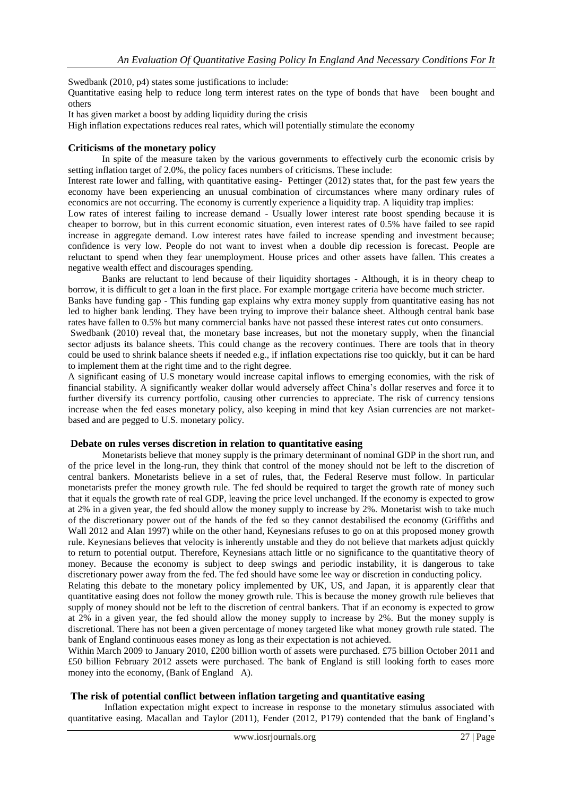Swedbank (2010, p4) states some justifications to include:

Quantitative easing help to reduce long term interest rates on the type of bonds that have been bought and others

It has given market a boost by adding liquidity during the crisis

High inflation expectations reduces real rates, which will potentially stimulate the economy

# **Criticisms of the monetary policy**

In spite of the measure taken by the various governments to effectively curb the economic crisis by setting inflation target of 2.0%, the policy faces numbers of criticisms. These include:

Interest rate lower and falling, with quantitative easing- Pettinger (2012) states that, for the past few years the economy have been experiencing an unusual combination of circumstances where many ordinary rules of economics are not occurring. The economy is currently experience a liquidity trap. A liquidity trap implies:

Low rates of interest failing to increase demand - Usually lower interest rate boost spending because it is cheaper to borrow, but in this current economic situation, even interest rates of 0.5% have failed to see rapid increase in aggregate demand. Low interest rates have failed to increase spending and investment because; confidence is very low. People do not want to invest when a double dip recession is forecast. People are reluctant to spend when they fear unemployment. House prices and other assets have fallen. This creates a negative wealth effect and discourages spending.

Banks are reluctant to lend because of their liquidity shortages - Although, it is in theory cheap to borrow, it is difficult to get a loan in the first place. For example mortgage criteria have become much stricter.

Banks have funding gap - This funding gap explains why extra money supply from quantitative easing has not led to higher bank lending. They have been trying to improve their balance sheet. Although central bank base rates have fallen to 0.5% but many commercial banks have not passed these interest rates cut onto consumers.

Swedbank (2010) reveal that, the monetary base increases, but not the monetary supply, when the financial sector adjusts its balance sheets. This could change as the recovery continues. There are tools that in theory could be used to shrink balance sheets if needed e.g., if inflation expectations rise too quickly, but it can be hard to implement them at the right time and to the right degree.

A significant easing of U.S monetary would increase capital inflows to emerging economies, with the risk of financial stability. A significantly weaker dollar would adversely affect China's dollar reserves and force it to further diversify its currency portfolio, causing other currencies to appreciate. The risk of currency tensions increase when the fed eases monetary policy, also keeping in mind that key Asian currencies are not marketbased and are pegged to U.S. monetary policy.

## **Debate on rules verses discretion in relation to quantitative easing**

Monetarists believe that money supply is the primary determinant of nominal GDP in the short run, and of the price level in the long-run, they think that control of the money should not be left to the discretion of central bankers. Monetarists believe in a set of rules, that, the Federal Reserve must follow. In particular monetarists prefer the money growth rule. The fed should be required to target the growth rate of money such that it equals the growth rate of real GDP, leaving the price level unchanged. If the economy is expected to grow at 2% in a given year, the fed should allow the money supply to increase by 2%. Monetarist wish to take much of the discretionary power out of the hands of the fed so they cannot destabilised the economy (Griffiths and Wall 2012 and Alan 1997) while on the other hand, Keynesians refuses to go on at this proposed money growth rule. Keynesians believes that velocity is inherently unstable and they do not believe that markets adjust quickly to return to potential output. Therefore, Keynesians attach little or no significance to the quantitative theory of money. Because the economy is subject to deep swings and periodic instability, it is dangerous to take discretionary power away from the fed. The fed should have some lee way or discretion in conducting policy.

Relating this debate to the monetary policy implemented by UK, US, and Japan, it is apparently clear that quantitative easing does not follow the money growth rule. This is because the money growth rule believes that supply of money should not be left to the discretion of central bankers. That if an economy is expected to grow at 2% in a given year, the fed should allow the money supply to increase by 2%. But the money supply is discretional. There has not been a given percentage of money targeted like what money growth rule stated. The bank of England continuous eases money as long as their expectation is not achieved.

Within March 2009 to January 2010, £200 billion worth of assets were purchased. £75 billion October 2011 and £50 billion February 2012 assets were purchased. The bank of England is still looking forth to eases more money into the economy, (Bank of England A).

## **The risk of potential conflict between inflation targeting and quantitative easing**

Inflation expectation might expect to increase in response to the monetary stimulus associated with quantitative easing. Macallan and Taylor (2011), Fender (2012, P179) contended that the bank of England's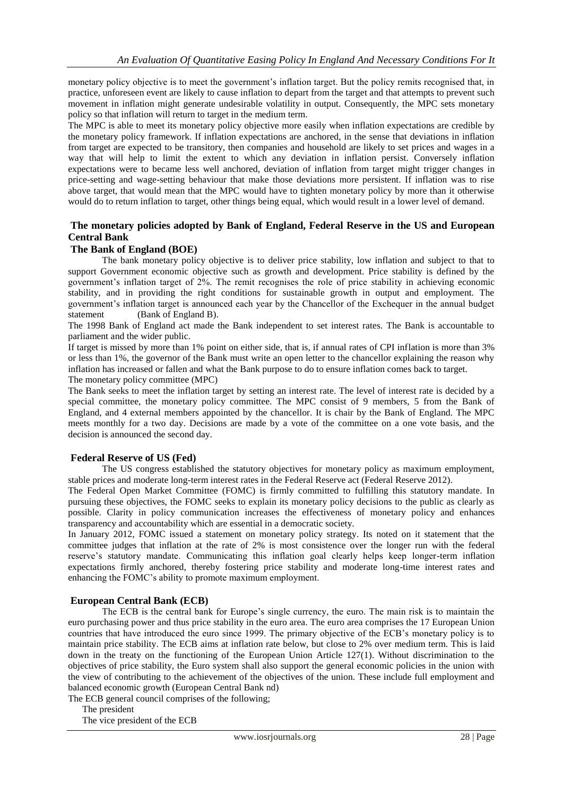monetary policy objective is to meet the government's inflation target. But the policy remits recognised that, in practice, unforeseen event are likely to cause inflation to depart from the target and that attempts to prevent such movement in inflation might generate undesirable volatility in output. Consequently, the MPC sets monetary policy so that inflation will return to target in the medium term.

The MPC is able to meet its monetary policy objective more easily when inflation expectations are credible by the monetary policy framework. If inflation expectations are anchored, in the sense that deviations in inflation from target are expected to be transitory, then companies and household are likely to set prices and wages in a way that will help to limit the extent to which any deviation in inflation persist. Conversely inflation expectations were to became less well anchored, deviation of inflation from target might trigger changes in price-setting and wage-setting behaviour that make those deviations more persistent. If inflation was to rise above target, that would mean that the MPC would have to tighten monetary policy by more than it otherwise would do to return inflation to target, other things being equal, which would result in a lower level of demand.

# **The monetary policies adopted by Bank of England, Federal Reserve in the US and European Central Bank**

## **The Bank of England (BOE)**

The bank monetary policy objective is to deliver price stability, low inflation and subject to that to support Government economic objective such as growth and development. Price stability is defined by the government's inflation target of 2%. The remit recognises the role of price stability in achieving economic stability, and in providing the right conditions for sustainable growth in output and employment. The government's inflation target is announced each year by the Chancellor of the Exchequer in the annual budget statement (Bank of England B).

The 1998 Bank of England act made the Bank independent to set interest rates. The Bank is accountable to parliament and the wider public.

If target is missed by more than 1% point on either side, that is, if annual rates of CPI inflation is more than 3% or less than 1%, the governor of the Bank must write an open letter to the chancellor explaining the reason why inflation has increased or fallen and what the Bank purpose to do to ensure inflation comes back to target. The monetary policy committee (MPC)

The Bank seeks to meet the inflation target by setting an interest rate. The level of interest rate is decided by a special committee, the monetary policy committee. The MPC consist of 9 members, 5 from the Bank of England, and 4 external members appointed by the chancellor. It is chair by the Bank of England. The MPC meets monthly for a two day. Decisions are made by a vote of the committee on a one vote basis, and the decision is announced the second day.

# **Federal Reserve of US (Fed)**

The US congress established the statutory objectives for monetary policy as maximum employment, stable prices and moderate long-term interest rates in the Federal Reserve act (Federal Reserve 2012).

The Federal Open Market Committee (FOMC) is firmly committed to fulfilling this statutory mandate. In pursuing these objectives, the FOMC seeks to explain its monetary policy decisions to the public as clearly as possible. Clarity in policy communication increases the effectiveness of monetary policy and enhances transparency and accountability which are essential in a democratic society.

In January 2012, FOMC issued a statement on monetary policy strategy. Its noted on it statement that the committee judges that inflation at the rate of 2% is most consistence over the longer run with the federal reserve's statutory mandate. Communicating this inflation goal clearly helps keep longer-term inflation expectations firmly anchored, thereby fostering price stability and moderate long-time interest rates and enhancing the FOMC's ability to promote maximum employment.

## **European Central Bank (ECB)**

The ECB is the central bank for Europe's single currency, the euro. The main risk is to maintain the euro purchasing power and thus price stability in the euro area. The euro area comprises the 17 European Union countries that have introduced the euro since 1999. The primary objective of the ECB's monetary policy is to maintain price stability. The ECB aims at inflation rate below, but close to 2% over medium term. This is laid down in the treaty on the functioning of the European Union Article 127(1). Without discrimination to the objectives of price stability, the Euro system shall also support the general economic policies in the union with the view of contributing to the achievement of the objectives of the union. These include full employment and balanced economic growth (European Central Bank nd)

The ECB general council comprises of the following;

The president

The vice president of the ECB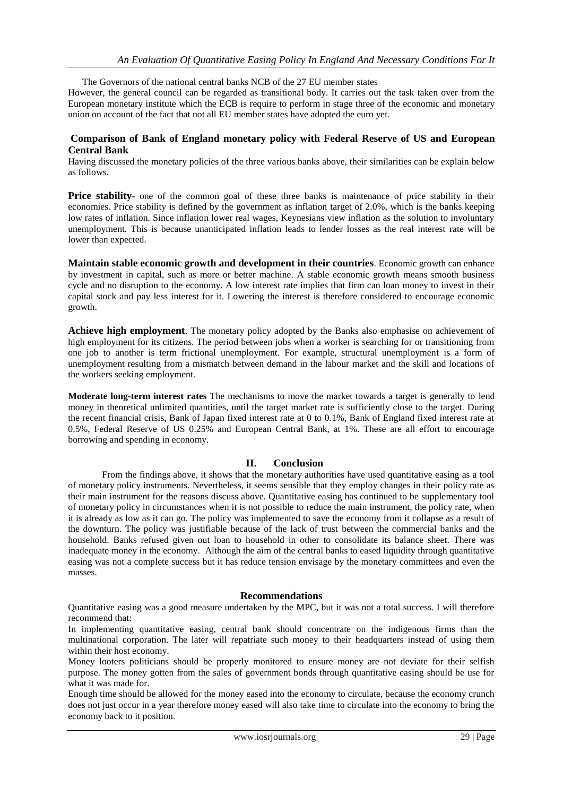The Governors of the national central banks NCB of the 27 EU member states

However, the general council can be regarded as transitional body. It carries out the task taken over from the European monetary institute which the ECB is require to perform in stage three of the economic and monetary union on account of the fact that not all EU member states have adopted the euro yet.

# **Comparison of Bank of England monetary policy with Federal Reserve of US and European Central Bank**

Having discussed the monetary policies of the three various banks above, their similarities can be explain below as follows.

**Price stability**- one of the common goal of these three banks is maintenance of price stability in their economies. Price stability is defined by the government as inflation target of 2.0%, which is the banks keeping low rates of inflation. Since inflation lower real wages, Keynesians view inflation as the solution to involuntary unemployment. This is because unanticipated inflation leads to lender losses as the real interest rate will be lower than expected.

**Maintain stable economic growth and development in their countries**. Economic growth can enhance by investment in capital, such as more or better machine. A stable economic growth means smooth business cycle and no disruption to the economy. A low interest rate implies that firm can loan money to invest in their capital stock and pay less interest for it. Lowering the interest is therefore considered to encourage economic growth.

**Achieve high employment**. The monetary policy adopted by the Banks also emphasise on achievement of high employment for its citizens. The period between jobs when a worker is searching for or transitioning from one job to another is term frictional unemployment. For example, structural unemployment is a form of unemployment resulting from a mismatch between demand in the labour market and the skill and locations of the workers seeking employment.

**Moderate long-term interest rates** The mechanisms to move the market towards a target is generally to lend money in theoretical unlimited quantities, until the target market rate is sufficiently close to the target. During the recent financial crisis, Bank of Japan fixed interest rate at 0 to 0.1%, Bank of England fixed interest rate at 0.5%, Federal Reserve of US 0.25% and European Central Bank, at 1%. These are all effort to encourage borrowing and spending in economy.

# **II. Conclusion**

From the findings above, it shows that the monetary authorities have used quantitative easing as a tool of monetary policy instruments. Nevertheless, it seems sensible that they employ changes in their policy rate as their main instrument for the reasons discuss above. Quantitative easing has continued to be supplementary tool of monetary policy in circumstances when it is not possible to reduce the main instrument, the policy rate, when it is already as low as it can go. The policy was implemented to save the economy from it collapse as a result of the downturn. The policy was justifiable because of the lack of trust between the commercial banks and the household. Banks refused given out loan to household in other to consolidate its balance sheet. There was inadequate money in the economy. Although the aim of the central banks to eased liquidity through quantitative easing was not a complete success but it has reduce tension envisage by the monetary committees and even the masses.

## **Recommendations**

Quantitative easing was a good measure undertaken by the MPC, but it was not a total success. I will therefore recommend that:

In implementing quantitative easing, central bank should concentrate on the indigenous firms than the multinational corporation. The later will repatriate such money to their headquarters instead of using them within their host economy.

Money looters politicians should be properly monitored to ensure money are not deviate for their selfish purpose. The money gotten from the sales of government bonds through quantitative easing should be use for what it was made for.

Enough time should be allowed for the money eased into the economy to circulate, because the economy crunch does not just occur in a year therefore money eased will also take time to circulate into the economy to bring the economy back to it position.